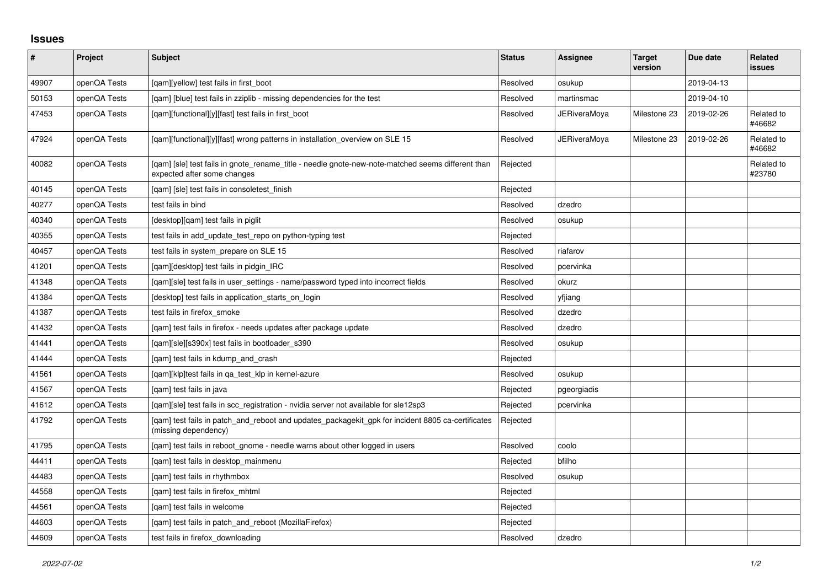## **Issues**

| $\sharp$ | Project      | Subject                                                                                                                          | <b>Status</b> | Assignee            | <b>Target</b><br>version | Due date   | <b>Related</b><br><b>issues</b> |
|----------|--------------|----------------------------------------------------------------------------------------------------------------------------------|---------------|---------------------|--------------------------|------------|---------------------------------|
| 49907    | openQA Tests | [qam][yellow] test fails in first_boot                                                                                           | Resolved      | osukup              |                          | 2019-04-13 |                                 |
| 50153    | openQA Tests | [gam] [blue] test fails in zziplib - missing dependencies for the test                                                           | Resolved      | martinsmac          |                          | 2019-04-10 |                                 |
| 47453    | openQA Tests | [qam][functional][y][fast] test fails in first_boot                                                                              | Resolved      | JERiveraMoya        | Milestone 23             | 2019-02-26 | Related to<br>#46682            |
| 47924    | openQA Tests | [qam][functional][y][fast] wrong patterns in installation_overview on SLE 15                                                     | Resolved      | <b>JERiveraMoya</b> | Milestone 23             | 2019-02-26 | Related to<br>#46682            |
| 40082    | openQA Tests | [gam] [sle] test fails in gnote rename title - needle gnote-new-note-matched seems different than<br>expected after some changes | Rejected      |                     |                          |            | Related to<br>#23780            |
| 40145    | openQA Tests | [qam] [sle] test fails in consoletest_finish                                                                                     | Rejected      |                     |                          |            |                                 |
| 40277    | openQA Tests | test fails in bind                                                                                                               | Resolved      | dzedro              |                          |            |                                 |
| 40340    | openQA Tests | [desktop][qam] test fails in piglit                                                                                              | Resolved      | osukup              |                          |            |                                 |
| 40355    | openQA Tests | test fails in add_update_test_repo on python-typing test                                                                         | Rejected      |                     |                          |            |                                 |
| 40457    | openQA Tests | test fails in system prepare on SLE 15                                                                                           | Resolved      | riafarov            |                          |            |                                 |
| 41201    | openQA Tests | [gam][desktop] test fails in pidgin IRC                                                                                          | Resolved      | pcervinka           |                          |            |                                 |
| 41348    | openQA Tests | [gam][sle] test fails in user settings - name/password typed into incorrect fields                                               | Resolved      | okurz               |                          |            |                                 |
| 41384    | openQA Tests | [desktop] test fails in application starts on login                                                                              | Resolved      | yfjiang             |                          |            |                                 |
| 41387    | openQA Tests | test fails in firefox smoke                                                                                                      | Resolved      | dzedro              |                          |            |                                 |
| 41432    | openQA Tests | [qam] test fails in firefox - needs updates after package update                                                                 | Resolved      | dzedro              |                          |            |                                 |
| 41441    | openQA Tests | [gam][sle][s390x] test fails in bootloader s390                                                                                  | Resolved      | osukup              |                          |            |                                 |
| 41444    | openQA Tests | [qam] test fails in kdump_and_crash                                                                                              | Rejected      |                     |                          |            |                                 |
| 41561    | openQA Tests | [gam][klp]test fails in ga test klp in kernel-azure                                                                              | Resolved      | osukup              |                          |            |                                 |
| 41567    | openQA Tests | [qam] test fails in java                                                                                                         | Rejected      | pgeorgiadis         |                          |            |                                 |
| 41612    | openQA Tests | [gam][sle] test fails in scc registration - nvidia server not available for sle12sp3                                             | Rejected      | pcervinka           |                          |            |                                 |
| 41792    | openQA Tests | [qam] test fails in patch_and_reboot and updates_packagekit_gpk for incident 8805 ca-certificates<br>(missing dependency)        | Rejected      |                     |                          |            |                                 |
| 41795    | openQA Tests | [gam] test fails in reboot gnome - needle warns about other logged in users                                                      | Resolved      | coolo               |                          |            |                                 |
| 44411    | openQA Tests | [gam] test fails in desktop mainmenu                                                                                             | Rejected      | bfilho              |                          |            |                                 |
| 44483    | openQA Tests | [gam] test fails in rhythmbox                                                                                                    | Resolved      | osukup              |                          |            |                                 |
| 44558    | openQA Tests | [gam] test fails in firefox mhtml                                                                                                | Rejected      |                     |                          |            |                                 |
| 44561    | openQA Tests | [gam] test fails in welcome                                                                                                      | Rejected      |                     |                          |            |                                 |
| 44603    | openQA Tests | [gam] test fails in patch and reboot (MozillaFirefox)                                                                            | Rejected      |                     |                          |            |                                 |
| 44609    | openQA Tests | test fails in firefox downloading                                                                                                | Resolved      | dzedro              |                          |            |                                 |